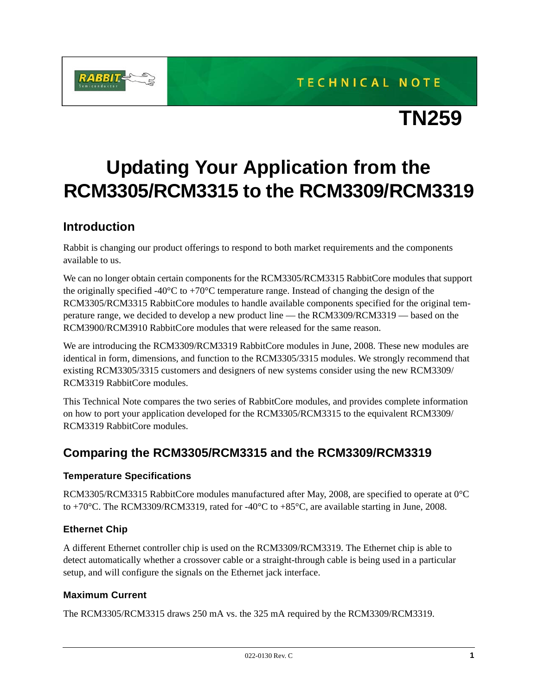TECHNICAL NOTE



# **TN259**

# **Updating Your Application from the RCM3305/RCM3315 to the RCM3309/RCM3319**

### **Introduction**

Rabbit is changing our product offerings to respond to both market requirements and the components available to us.

We can no longer obtain certain components for the RCM3305/RCM3315 RabbitCore modules that support the originally specified -40 $^{\circ}$ C to +70 $^{\circ}$ C temperature range. Instead of changing the design of the RCM3305/RCM3315 RabbitCore modules to handle available components specified for the original temperature range, we decided to develop a new product line — the RCM3309/RCM3319 — based on the RCM3900/RCM3910 RabbitCore modules that were released for the same reason.

We are introducing the RCM3309/RCM3319 RabbitCore modules in June, 2008. These new modules are identical in form, dimensions, and function to the RCM3305/3315 modules. We strongly recommend that existing RCM3305/3315 customers and designers of new systems consider using the new RCM3309/ RCM3319 RabbitCore modules.

This Technical Note compares the two series of RabbitCore modules, and provides complete information on how to port your application developed for the RCM3305/RCM3315 to the equivalent RCM3309/ RCM3319 RabbitCore modules.

## **Comparing the RCM3305/RCM3315 and the RCM3309/RCM3319**

#### **Temperature Specifications**

RCM3305/RCM3315 RabbitCore modules manufactured after May, 2008, are specified to operate at 0°C to +70°C. The RCM3309/RCM3319, rated for -40°C to +85°C, are available starting in June, 2008.

#### **Ethernet Chip**

A different Ethernet controller chip is used on the RCM3309/RCM3319. The Ethernet chip is able to detect automatically whether a crossover cable or a straight-through cable is being used in a particular setup, and will configure the signals on the Ethernet jack interface.

#### **Maximum Current**

The RCM3305/RCM3315 draws 250 mA vs. the 325 mA required by the RCM3309/RCM3319.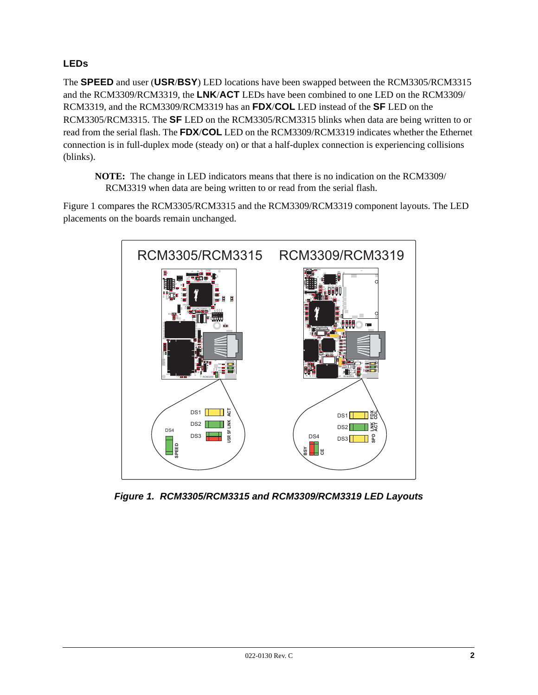#### **LEDs**

The **SPEED** and user (**USR**/**BSY**) LED locations have been swapped between the RCM3305/RCM3315 and the RCM3309/RCM3319, the **LNK**/**ACT** LEDs have been combined to one LED on the RCM3309/ RCM3319, and the RCM3309/RCM3319 has an **FDX**/**COL** LED instead of the **SF** LED on the RCM3305/RCM3315. The **SF** LED on the RCM3305/RCM3315 blinks when data are being written to or read from the serial flash. The **FDX**/**COL** LED on the RCM3309/RCM3319 indicates whether the Ethernet connection is in full-duplex mode (steady on) or that a half-duplex connection is experiencing collisions (blinks).

**NOTE:** The change in LED indicators means that there is no indication on the RCM3309/ RCM3319 when data are being written to or read from the serial flash.

[Figure 1](#page-1-0) compares the RCM3305/RCM3315 and the RCM3309/RCM3319 component layouts. The LED placements on the boards remain unchanged.



<span id="page-1-0"></span>*Figure 1. RCM3305/RCM3315 and RCM3309/RCM3319 LED Layouts*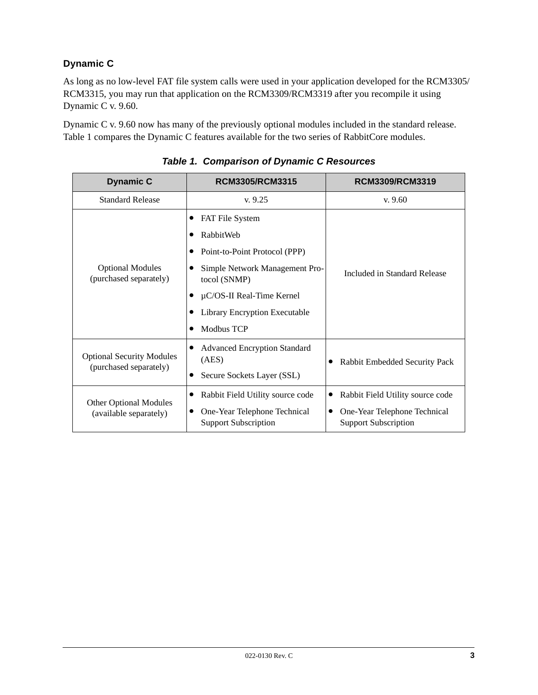#### **Dynamic C**

As long as no low-level FAT file system calls were used in your application developed for the RCM3305/ RCM3315, you may run that application on the RCM3309/RCM3319 after you recompile it using Dynamic C v. 9.60.

Dynamic C v. 9.60 now has many of the previously optional modules included in the standard release. [Table 1](#page-2-0) compares the Dynamic C features available for the two series of RabbitCore modules.

<span id="page-2-0"></span>

| <b>Dynamic C</b>                                           | RCM3305/RCM3315                                             | RCM3309/RCM3319                                                  |  |
|------------------------------------------------------------|-------------------------------------------------------------|------------------------------------------------------------------|--|
| <b>Standard Release</b>                                    | v.9.25                                                      | v.9.60                                                           |  |
| <b>Optional Modules</b><br>(purchased separately)          | FAT File System                                             | Included in Standard Release                                     |  |
|                                                            | RabbitWeb                                                   |                                                                  |  |
|                                                            | Point-to-Point Protocol (PPP)                               |                                                                  |  |
|                                                            | Simple Network Management Pro-<br>tocol (SNMP)              |                                                                  |  |
|                                                            | $\mu$ C/OS-II Real-Time Kernel                              |                                                                  |  |
|                                                            | Library Encryption Executable                               |                                                                  |  |
|                                                            | Modbus TCP                                                  |                                                                  |  |
| <b>Optional Security Modules</b><br>(purchased separately) | <b>Advanced Encryption Standard</b><br>(AES)                | Rabbit Embedded Security Pack                                    |  |
|                                                            | Secure Sockets Layer (SSL)                                  |                                                                  |  |
| <b>Other Optional Modules</b><br>(available separately)    | Rabbit Field Utility source code                            | Rabbit Field Utility source code<br>$\bullet$                    |  |
|                                                            | One-Year Telephone Technical<br><b>Support Subscription</b> | One-Year Telephone Technical<br>٠<br><b>Support Subscription</b> |  |

*Table 1. Comparison of Dynamic C Resources*